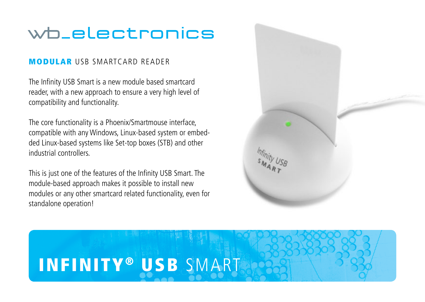## wb\_electronics

## MODULAR USB SMARTCARD READER

The Infinity USB Smart is a new module based smartcard reader, with a new approach to ensure a very high level of compatibility and functionality.

The core functionality is a Phoenix/Smartmouse interface, compatible with any Windows, Linux-based system or embedded Linux-based systems like Set-top boxes (STB) and other industrial controllers.

This is just one of the features of the Infinity USB Smart. The module-based approach makes it possible to install new modules or any other smartcard related functionality, even for standalone operation!

## INFINITY® USB SMART